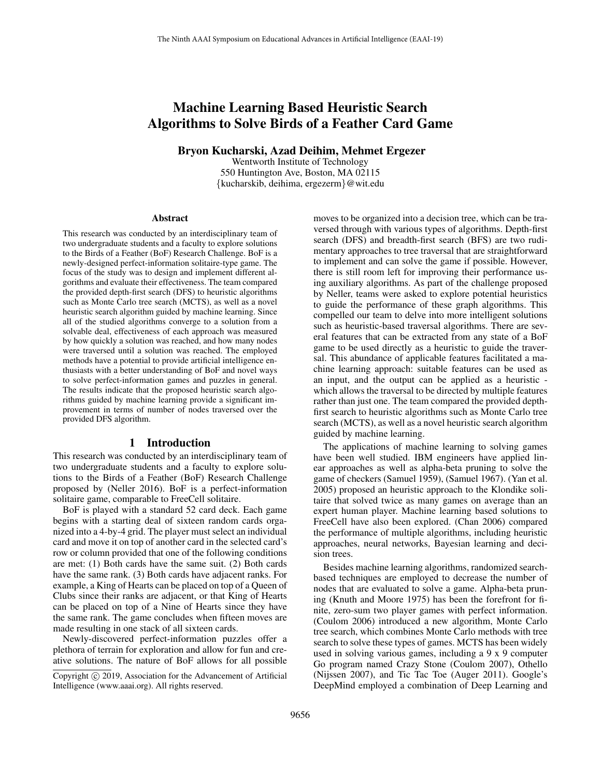# Machine Learning Based Heuristic Search Algorithms to Solve Birds of a Feather Card Game

Bryon Kucharski, Azad Deihim, Mehmet Ergezer

Wentworth Institute of Technology 550 Huntington Ave, Boston, MA 02115 {kucharskib, deihima, ergezerm}@wit.edu

#### Abstract

This research was conducted by an interdisciplinary team of two undergraduate students and a faculty to explore solutions to the Birds of a Feather (BoF) Research Challenge. BoF is a newly-designed perfect-information solitaire-type game. The focus of the study was to design and implement different algorithms and evaluate their effectiveness. The team compared the provided depth-first search (DFS) to heuristic algorithms such as Monte Carlo tree search (MCTS), as well as a novel heuristic search algorithm guided by machine learning. Since all of the studied algorithms converge to a solution from a solvable deal, effectiveness of each approach was measured by how quickly a solution was reached, and how many nodes were traversed until a solution was reached. The employed methods have a potential to provide artificial intelligence enthusiasts with a better understanding of BoF and novel ways to solve perfect-information games and puzzles in general. The results indicate that the proposed heuristic search algorithms guided by machine learning provide a significant improvement in terms of number of nodes traversed over the provided DFS algorithm.

## 1 Introduction

This research was conducted by an interdisciplinary team of two undergraduate students and a faculty to explore solutions to the Birds of a Feather (BoF) Research Challenge proposed by (Neller 2016). BoF is a perfect-information solitaire game, comparable to FreeCell solitaire.

BoF is played with a standard 52 card deck. Each game begins with a starting deal of sixteen random cards organized into a 4-by-4 grid. The player must select an individual card and move it on top of another card in the selected card's row or column provided that one of the following conditions are met: (1) Both cards have the same suit. (2) Both cards have the same rank. (3) Both cards have adjacent ranks. For example, a King of Hearts can be placed on top of a Queen of Clubs since their ranks are adjacent, or that King of Hearts can be placed on top of a Nine of Hearts since they have the same rank. The game concludes when fifteen moves are made resulting in one stack of all sixteen cards.

Newly-discovered perfect-information puzzles offer a plethora of terrain for exploration and allow for fun and creative solutions. The nature of BoF allows for all possible moves to be organized into a decision tree, which can be traversed through with various types of algorithms. Depth-first search (DFS) and breadth-first search (BFS) are two rudimentary approaches to tree traversal that are straightforward to implement and can solve the game if possible. However, there is still room left for improving their performance using auxiliary algorithms. As part of the challenge proposed by Neller, teams were asked to explore potential heuristics to guide the performance of these graph algorithms. This compelled our team to delve into more intelligent solutions such as heuristic-based traversal algorithms. There are several features that can be extracted from any state of a BoF game to be used directly as a heuristic to guide the traversal. This abundance of applicable features facilitated a machine learning approach: suitable features can be used as an input, and the output can be applied as a heuristic which allows the traversal to be directed by multiple features rather than just one. The team compared the provided depthfirst search to heuristic algorithms such as Monte Carlo tree search (MCTS), as well as a novel heuristic search algorithm guided by machine learning.

The applications of machine learning to solving games have been well studied. IBM engineers have applied linear approaches as well as alpha-beta pruning to solve the game of checkers (Samuel 1959), (Samuel 1967). (Yan et al. 2005) proposed an heuristic approach to the Klondike solitaire that solved twice as many games on average than an expert human player. Machine learning based solutions to FreeCell have also been explored. (Chan 2006) compared the performance of multiple algorithms, including heuristic approaches, neural networks, Bayesian learning and decision trees.

Besides machine learning algorithms, randomized searchbased techniques are employed to decrease the number of nodes that are evaluated to solve a game. Alpha-beta pruning (Knuth and Moore 1975) has been the forefront for finite, zero-sum two player games with perfect information. (Coulom 2006) introduced a new algorithm, Monte Carlo tree search, which combines Monte Carlo methods with tree search to solve these types of games. MCTS has been widely used in solving various games, including a 9 x 9 computer Go program named Crazy Stone (Coulom 2007), Othello (Nijssen 2007), and Tic Tac Toe (Auger 2011). Google's DeepMind employed a combination of Deep Learning and

Copyright (c) 2019, Association for the Advancement of Artificial Intelligence (www.aaai.org). All rights reserved.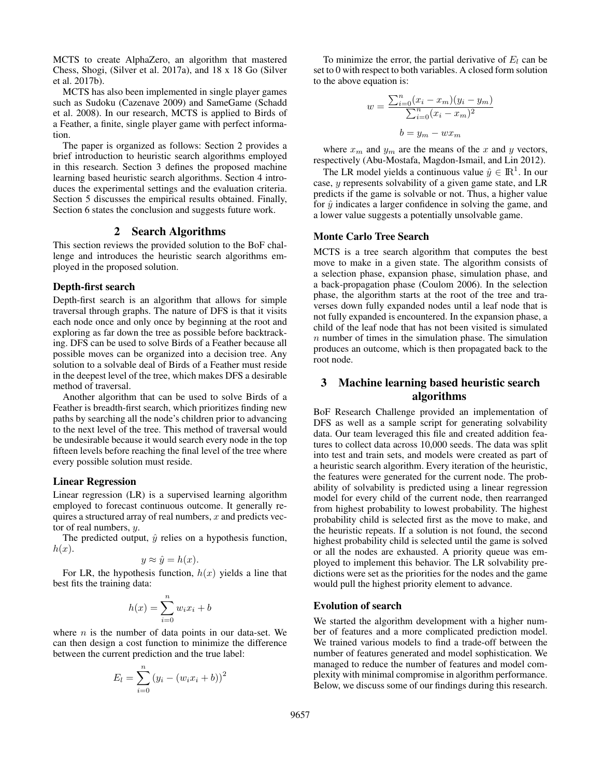MCTS to create AlphaZero, an algorithm that mastered Chess, Shogi, (Silver et al. 2017a), and 18 x 18 Go (Silver et al. 2017b).

MCTS has also been implemented in single player games such as Sudoku (Cazenave 2009) and SameGame (Schadd et al. 2008). In our research, MCTS is applied to Birds of a Feather, a finite, single player game with perfect information.

The paper is organized as follows: Section 2 provides a brief introduction to heuristic search algorithms employed in this research. Section 3 defines the proposed machine learning based heuristic search algorithms. Section 4 introduces the experimental settings and the evaluation criteria. Section 5 discusses the empirical results obtained. Finally, Section 6 states the conclusion and suggests future work.

## 2 Search Algorithms

This section reviews the provided solution to the BoF challenge and introduces the heuristic search algorithms employed in the proposed solution.

#### Depth-first search

Depth-first search is an algorithm that allows for simple traversal through graphs. The nature of DFS is that it visits each node once and only once by beginning at the root and exploring as far down the tree as possible before backtracking. DFS can be used to solve Birds of a Feather because all possible moves can be organized into a decision tree. Any solution to a solvable deal of Birds of a Feather must reside in the deepest level of the tree, which makes DFS a desirable method of traversal.

Another algorithm that can be used to solve Birds of a Feather is breadth-first search, which prioritizes finding new paths by searching all the node's children prior to advancing to the next level of the tree. This method of traversal would be undesirable because it would search every node in the top fifteen levels before reaching the final level of the tree where every possible solution must reside.

#### Linear Regression

Linear regression (LR) is a supervised learning algorithm employed to forecast continuous outcome. It generally requires a structured array of real numbers,  $x$  and predicts vector of real numbers, y.

The predicted output,  $\hat{y}$  relies on a hypothesis function,  $h(x)$ .

$$
y \approx \hat{y} = h(x).
$$

For LR, the hypothesis function,  $h(x)$  yields a line that best fits the training data:

$$
h(x) = \sum_{i=0}^{n} w_i x_i + b
$$

where  $n$  is the number of data points in our data-set. We can then design a cost function to minimize the difference between the current prediction and the true label:

$$
E_l = \sum_{i=0}^{n} (y_i - (w_i x_i + b))^2
$$

To minimize the error, the partial derivative of  $E_l$  can be set to 0 with respect to both variables. A closed form solution to the above equation is:

$$
w = \frac{\sum_{i=0}^{n} (x_i - x_m)(y_i - y_m)}{\sum_{i=0}^{n} (x_i - x_m)^2}
$$

$$
b = y_m - wx_m
$$

where  $x_m$  and  $y_m$  are the means of the x and y vectors, respectively (Abu-Mostafa, Magdon-Ismail, and Lin 2012).

The LR model yields a continuous value  $\hat{y} \in \mathbb{R}^1$ . In our case, y represents solvability of a given game state, and LR predicts if the game is solvable or not. Thus, a higher value for  $\hat{y}$  indicates a larger confidence in solving the game, and a lower value suggests a potentially unsolvable game.

## Monte Carlo Tree Search

MCTS is a tree search algorithm that computes the best move to make in a given state. The algorithm consists of a selection phase, expansion phase, simulation phase, and a back-propagation phase (Coulom 2006). In the selection phase, the algorithm starts at the root of the tree and traverses down fully expanded nodes until a leaf node that is not fully expanded is encountered. In the expansion phase, a child of the leaf node that has not been visited is simulated  $n$  number of times in the simulation phase. The simulation produces an outcome, which is then propagated back to the root node.

## 3 Machine learning based heuristic search algorithms

BoF Research Challenge provided an implementation of DFS as well as a sample script for generating solvability data. Our team leveraged this file and created addition features to collect data across 10,000 seeds. The data was split into test and train sets, and models were created as part of a heuristic search algorithm. Every iteration of the heuristic, the features were generated for the current node. The probability of solvability is predicted using a linear regression model for every child of the current node, then rearranged from highest probability to lowest probability. The highest probability child is selected first as the move to make, and the heuristic repeats. If a solution is not found, the second highest probability child is selected until the game is solved or all the nodes are exhausted. A priority queue was employed to implement this behavior. The LR solvability predictions were set as the priorities for the nodes and the game would pull the highest priority element to advance.

#### Evolution of search

We started the algorithm development with a higher number of features and a more complicated prediction model. We trained various models to find a trade-off between the number of features generated and model sophistication. We managed to reduce the number of features and model complexity with minimal compromise in algorithm performance. Below, we discuss some of our findings during this research.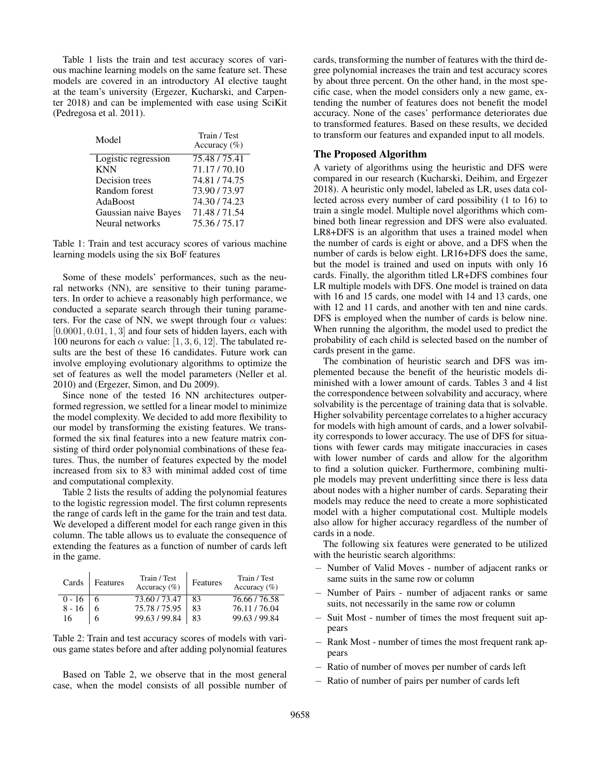Table 1 lists the train and test accuracy scores of various machine learning models on the same feature set. These models are covered in an introductory AI elective taught at the team's university (Ergezer, Kucharski, and Carpenter 2018) and can be implemented with ease using SciKit (Pedregosa et al. 2011).

| Model                | Train / Test<br>Accuracy $(\% )$ |
|----------------------|----------------------------------|
| Logistic regression  | 75.48 / 75.41                    |
| <b>KNN</b>           | 71.17/70.10                      |
| Decision trees       | 74.81/74.75                      |
| Random forest        | 73.90 / 73.97                    |
| AdaBoost             | 74.30/74.23                      |
| Gaussian naive Bayes | 71.48 / 71.54                    |
| Neural networks      | 75.36 / 75.17                    |

Table 1: Train and test accuracy scores of various machine learning models using the six BoF features

Some of these models' performances, such as the neural networks (NN), are sensitive to their tuning parameters. In order to achieve a reasonably high performance, we conducted a separate search through their tuning parameters. For the case of NN, we swept through four  $\alpha$  values:  $[0.0001, 0.01, 1, 3]$  and four sets of hidden layers, each with 100 neurons for each  $\alpha$  value: [1, 3, 6, 12]. The tabulated results are the best of these 16 candidates. Future work can involve employing evolutionary algorithms to optimize the set of features as well the model parameters (Neller et al. 2010) and (Ergezer, Simon, and Du 2009).

Since none of the tested 16 NN architectures outperformed regression, we settled for a linear model to minimize the model complexity. We decided to add more flexibility to our model by transforming the existing features. We transformed the six final features into a new feature matrix consisting of third order polynomial combinations of these features. Thus, the number of features expected by the model increased from six to 83 with minimal added cost of time and computational complexity.

Table 2 lists the results of adding the polynomial features to the logistic regression model. The first column represents the range of cards left in the game for the train and test data. We developed a different model for each range given in this column. The table allows us to evaluate the consequence of extending the features as a function of number of cards left in the game.

| Cards    | Features | Train / Test<br>Accuracy $(\% )$ | Features | Train / Test<br>Accuracy $(\% )$ |
|----------|----------|----------------------------------|----------|----------------------------------|
| $0 - 16$ | 6        | 73.60 / 73.47                    | 83       | 76.66 / 76.58                    |
| $8 - 16$ |          | 75.78 / 75.95                    | 83       | 76.11/76.04                      |
| 16       |          | 99.63 / 99.84                    | 83       | 99.63/99.84                      |

 $\overline{1}$ 

Table 2: Train and test accuracy scores of models with various game states before and after adding polynomial features

Based on Table 2, we observe that in the most general case, when the model consists of all possible number of cards, transforming the number of features with the third degree polynomial increases the train and test accuracy scores by about three percent. On the other hand, in the most specific case, when the model considers only a new game, extending the number of features does not benefit the model accuracy. None of the cases' performance deteriorates due to transformed features. Based on these results, we decided to transform our features and expanded input to all models.

### The Proposed Algorithm

A variety of algorithms using the heuristic and DFS were compared in our research (Kucharski, Deihim, and Ergezer 2018). A heuristic only model, labeled as LR, uses data collected across every number of card possibility (1 to 16) to train a single model. Multiple novel algorithms which combined both linear regression and DFS were also evaluated. LR8+DFS is an algorithm that uses a trained model when the number of cards is eight or above, and a DFS when the number of cards is below eight. LR16+DFS does the same, but the model is trained and used on inputs with only 16 cards. Finally, the algorithm titled LR+DFS combines four LR multiple models with DFS. One model is trained on data with 16 and 15 cards, one model with 14 and 13 cards, one with 12 and 11 cards, and another with ten and nine cards. DFS is employed when the number of cards is below nine. When running the algorithm, the model used to predict the probability of each child is selected based on the number of cards present in the game.

The combination of heuristic search and DFS was implemented because the benefit of the heuristic models diminished with a lower amount of cards. Tables 3 and 4 list the correspondence between solvability and accuracy, where solvability is the percentage of training data that is solvable. Higher solvability percentage correlates to a higher accuracy for models with high amount of cards, and a lower solvability corresponds to lower accuracy. The use of DFS for situations with fewer cards may mitigate inaccuracies in cases with lower number of cards and allow for the algorithm to find a solution quicker. Furthermore, combining multiple models may prevent underfitting since there is less data about nodes with a higher number of cards. Separating their models may reduce the need to create a more sophisticated model with a higher computational cost. Multiple models also allow for higher accuracy regardless of the number of cards in a node.

The following six features were generated to be utilized with the heuristic search algorithms:

- − Number of Valid Moves number of adjacent ranks or same suits in the same row or column
- − Number of Pairs number of adjacent ranks or same suits, not necessarily in the same row or column
- − Suit Most number of times the most frequent suit appears
- Rank Most number of times the most frequent rank appears
- − Ratio of number of moves per number of cards left
- − Ratio of number of pairs per number of cards left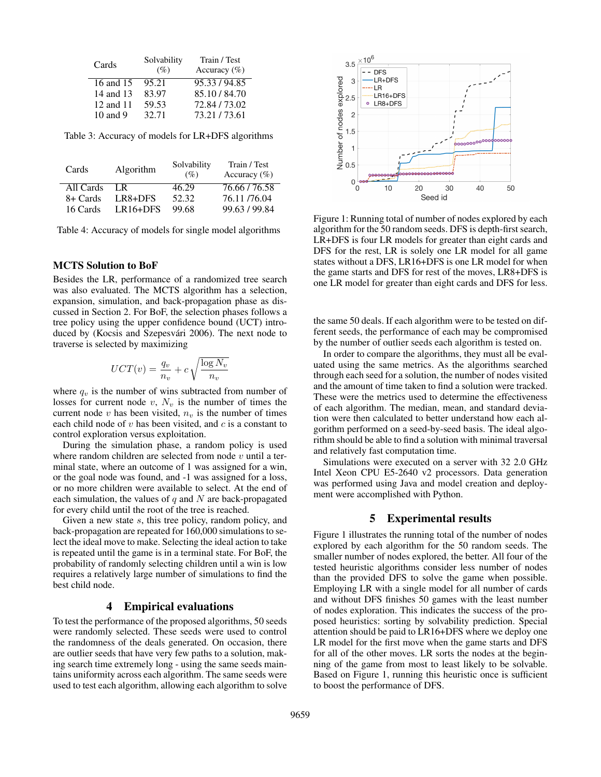| Cards      | Solvability<br>$(\%)$ | Train / Test<br>Accuracy $(\% )$ |
|------------|-----------------------|----------------------------------|
| 16 and 15  | 95.21                 | 95.33/94.85                      |
| 14 and 13  | 83.97                 | 85.10/84.70                      |
| 12 and 11  | 59.53                 | 72.84 / 73.02                    |
| $10$ and 9 | 32.71                 | 73.21/73.61                      |

Table 3: Accuracy of models for LR+DFS algorithms

| Cards     | Algorithm  | Solvability<br>(%) | Train / Test<br>Accuracy $(\% )$ |
|-----------|------------|--------------------|----------------------------------|
| All Cards | LR.        | 46.29              | 76.66 / 76.58                    |
| 8+ Cards  | LR8+DFS    | 52.32              | 76.11 /76.04                     |
| 16 Cards  | $LR16+DFS$ | 99.68              | 99.63/99.84                      |

Table 4: Accuracy of models for single model algorithms

#### MCTS Solution to BoF

Besides the LR, performance of a randomized tree search was also evaluated. The MCTS algorithm has a selection, expansion, simulation, and back-propagation phase as discussed in Section 2. For BoF, the selection phases follows a tree policy using the upper confidence bound (UCT) introduced by (Kocsis and Szepesvári 2006). The next node to traverse is selected by maximizing

$$
UCT(v) = \frac{q_v}{n_v} + c\sqrt{\frac{\log N_v}{n_v}}
$$

where  $q_v$  is the number of wins subtracted from number of losses for current node  $v$ ,  $N_v$  is the number of times the current node  $v$  has been visited,  $n_v$  is the number of times each child node of  $v$  has been visited, and  $c$  is a constant to control exploration versus exploitation.

During the simulation phase, a random policy is used where random children are selected from node  $v$  until a terminal state, where an outcome of 1 was assigned for a win, or the goal node was found, and -1 was assigned for a loss, or no more children were available to select. At the end of each simulation, the values of q and N are back-propagated for every child until the root of the tree is reached.

Given a new state s, this tree policy, random policy, and back-propagation are repeated for 160,000 simulations to select the ideal move to make. Selecting the ideal action to take is repeated until the game is in a terminal state. For BoF, the probability of randomly selecting children until a win is low requires a relatively large number of simulations to find the best child node.

## 4 Empirical evaluations

To test the performance of the proposed algorithms, 50 seeds were randomly selected. These seeds were used to control the randomness of the deals generated. On occasion, there are outlier seeds that have very few paths to a solution, making search time extremely long - using the same seeds maintains uniformity across each algorithm. The same seeds were used to test each algorithm, allowing each algorithm to solve



Figure 1: Running total of number of nodes explored by each algorithm for the 50 random seeds. DFS is depth-first search, LR+DFS is four LR models for greater than eight cards and DFS for the rest, LR is solely one LR model for all game states without a DFS, LR16+DFS is one LR model for when the game starts and DFS for rest of the moves, LR8+DFS is one LR model for greater than eight cards and DFS for less.

the same 50 deals. If each algorithm were to be tested on different seeds, the performance of each may be compromised by the number of outlier seeds each algorithm is tested on.

In order to compare the algorithms, they must all be evaluated using the same metrics. As the algorithms searched through each seed for a solution, the number of nodes visited and the amount of time taken to find a solution were tracked. These were the metrics used to determine the effectiveness of each algorithm. The median, mean, and standard deviation were then calculated to better understand how each algorithm performed on a seed-by-seed basis. The ideal algorithm should be able to find a solution with minimal traversal and relatively fast computation time.

Simulations were executed on a server with 32 2.0 GHz Intel Xeon CPU E5-2640 v2 processors. Data generation was performed using Java and model creation and deployment were accomplished with Python.

## 5 Experimental results

Figure 1 illustrates the running total of the number of nodes explored by each algorithm for the 50 random seeds. The smaller number of nodes explored, the better. All four of the tested heuristic algorithms consider less number of nodes than the provided DFS to solve the game when possible. Employing LR with a single model for all number of cards and without DFS finishes 50 games with the least number of nodes exploration. This indicates the success of the proposed heuristics: sorting by solvability prediction. Special attention should be paid to LR16+DFS where we deploy one LR model for the first move when the game starts and DFS for all of the other moves. LR sorts the nodes at the beginning of the game from most to least likely to be solvable. Based on Figure 1, running this heuristic once is sufficient to boost the performance of DFS.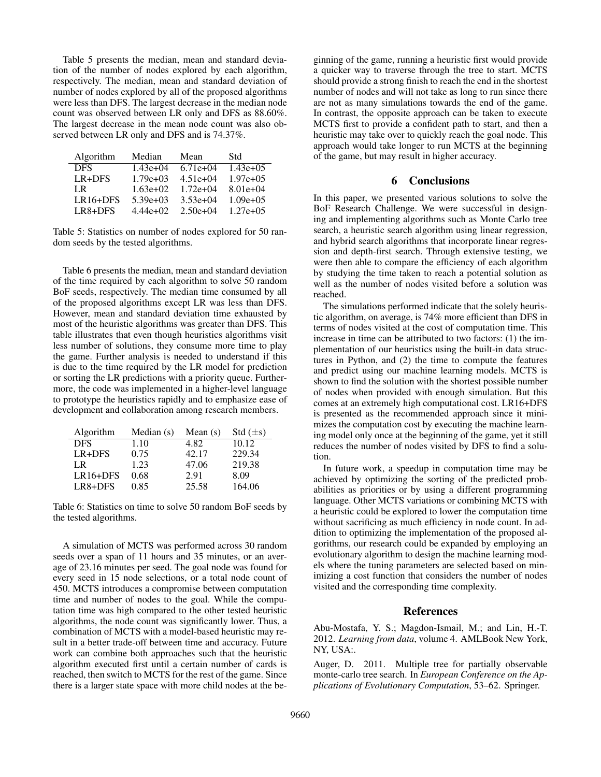Table 5 presents the median, mean and standard deviation of the number of nodes explored by each algorithm, respectively. The median, mean and standard deviation of number of nodes explored by all of the proposed algorithms were less than DFS. The largest decrease in the median node count was observed between LR only and DFS as 88.60%. The largest decrease in the mean node count was also observed between LR only and DFS and is 74.37%.

| Algorithm  | Median     | Mean       | Std         |
|------------|------------|------------|-------------|
| <b>DFS</b> | $1.43e+04$ | $6.71e+04$ | $1.43e+0.5$ |
| $LR+DFS$   | $1.79e+03$ | $4.51e+04$ | $1.97e+0.5$ |
| LR         | $1.63e+02$ | $1.72e+04$ | $8.01e+04$  |
| $LR16+DFS$ | $5.39e+03$ | $3.53e+04$ | $1.09e+05$  |
| LR8+DFS    | $4.44e+02$ | $2.50e+04$ | $1.27e+0.5$ |

Table 5: Statistics on number of nodes explored for 50 random seeds by the tested algorithms.

Table 6 presents the median, mean and standard deviation of the time required by each algorithm to solve 50 random BoF seeds, respectively. The median time consumed by all of the proposed algorithms except LR was less than DFS. However, mean and standard deviation time exhausted by most of the heuristic algorithms was greater than DFS. This table illustrates that even though heuristics algorithms visit less number of solutions, they consume more time to play the game. Further analysis is needed to understand if this is due to the time required by the LR model for prediction or sorting the LR predictions with a priority queue. Furthermore, the code was implemented in a higher-level language to prototype the heuristics rapidly and to emphasize ease of development and collaboration among research members.

| Algorithm  | Median $(s)$ | Mean $(s)$ | Std $(\pm s)$ |
|------------|--------------|------------|---------------|
| <b>DFS</b> | 1.10         | 4.82.      | 10.12         |
| $LR+DFS$   | 0.75         | 42.17      | 229.34        |
| LR         | 1.23         | 47.06      | 219.38        |
| $LR16+DFS$ | 0.68         | 2.91       | 8.09          |
| $LR8+DFS$  | 0.85         | 25.58      | 164.06        |

Table 6: Statistics on time to solve 50 random BoF seeds by the tested algorithms.

A simulation of MCTS was performed across 30 random seeds over a span of 11 hours and 35 minutes, or an average of 23.16 minutes per seed. The goal node was found for every seed in 15 node selections, or a total node count of 450. MCTS introduces a compromise between computation time and number of nodes to the goal. While the computation time was high compared to the other tested heuristic algorithms, the node count was significantly lower. Thus, a combination of MCTS with a model-based heuristic may result in a better trade-off between time and accuracy. Future work can combine both approaches such that the heuristic algorithm executed first until a certain number of cards is reached, then switch to MCTS for the rest of the game. Since there is a larger state space with more child nodes at the be-

ginning of the game, running a heuristic first would provide a quicker way to traverse through the tree to start. MCTS should provide a strong finish to reach the end in the shortest number of nodes and will not take as long to run since there are not as many simulations towards the end of the game. In contrast, the opposite approach can be taken to execute MCTS first to provide a confident path to start, and then a heuristic may take over to quickly reach the goal node. This approach would take longer to run MCTS at the beginning of the game, but may result in higher accuracy.

#### 6 Conclusions

In this paper, we presented various solutions to solve the BoF Research Challenge. We were successful in designing and implementing algorithms such as Monte Carlo tree search, a heuristic search algorithm using linear regression, and hybrid search algorithms that incorporate linear regression and depth-first search. Through extensive testing, we were then able to compare the efficiency of each algorithm by studying the time taken to reach a potential solution as well as the number of nodes visited before a solution was reached.

The simulations performed indicate that the solely heuristic algorithm, on average, is 74% more efficient than DFS in terms of nodes visited at the cost of computation time. This increase in time can be attributed to two factors: (1) the implementation of our heuristics using the built-in data structures in Python, and (2) the time to compute the features and predict using our machine learning models. MCTS is shown to find the solution with the shortest possible number of nodes when provided with enough simulation. But this comes at an extremely high computational cost. LR16+DFS is presented as the recommended approach since it minimizes the computation cost by executing the machine learning model only once at the beginning of the game, yet it still reduces the number of nodes visited by DFS to find a solution.

In future work, a speedup in computation time may be achieved by optimizing the sorting of the predicted probabilities as priorities or by using a different programming language. Other MCTS variations or combining MCTS with a heuristic could be explored to lower the computation time without sacrificing as much efficiency in node count. In addition to optimizing the implementation of the proposed algorithms, our research could be expanded by employing an evolutionary algorithm to design the machine learning models where the tuning parameters are selected based on minimizing a cost function that considers the number of nodes visited and the corresponding time complexity.

## References

Abu-Mostafa, Y. S.; Magdon-Ismail, M.; and Lin, H.-T. 2012. *Learning from data*, volume 4. AMLBook New York, NY, USA:.

Auger, D. 2011. Multiple tree for partially observable monte-carlo tree search. In *European Conference on the Applications of Evolutionary Computation*, 53–62. Springer.